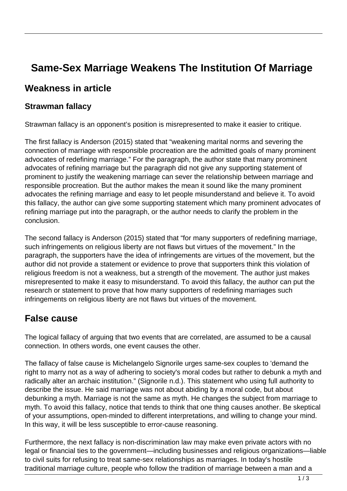# **Same-Sex Marriage Weakens The Institution Of Marriage**

#### **Weakness in article**

#### **Strawman fallacy**

Strawman fallacy is an opponent's position is misrepresented to make it easier to critique.

The first fallacy is Anderson (2015) stated that "weakening marital norms and severing the connection of marriage with responsible procreation are the admitted goals of many prominent advocates of redefining marriage." For the paragraph, the author state that many prominent advocates of refining marriage but the paragraph did not give any supporting statement of prominent to justify the weakening marriage can sever the relationship between marriage and responsible procreation. But the author makes the mean it sound like the many prominent advocates the refining marriage and easy to let people misunderstand and believe it. To avoid this fallacy, the author can give some supporting statement which many prominent advocates of refining marriage put into the paragraph, or the author needs to clarify the problem in the conclusion.

The second fallacy is Anderson (2015) stated that "for many supporters of redefining marriage, such infringements on religious liberty are not flaws but virtues of the movement." In the paragraph, the supporters have the idea of infringements are virtues of the movement, but the author did not provide a statement or evidence to prove that supporters think this violation of religious freedom is not a weakness, but a strength of the movement. The author just makes misrepresented to make it easy to misunderstand. To avoid this fallacy, the author can put the research or statement to prove that how many supporters of redefining marriages such infringements on religious liberty are not flaws but virtues of the movement.

#### **False cause**

The logical fallacy of arguing that two events that are correlated, are assumed to be a causal connection. In others words, one event causes the other.

The fallacy of false cause is Michelangelo Signorile urges same-sex couples to 'demand the right to marry not as a way of adhering to society's moral codes but rather to debunk a myth and radically alter an archaic institution." (Signorile n.d.). This statement who using full authority to describe the issue. He said marriage was not about abiding by a moral code, but about debunking a myth. Marriage is not the same as myth. He changes the subject from marriage to myth. To avoid this fallacy, notice that tends to think that one thing causes another. Be skeptical of your assumptions, open-minded to different interpretations, and willing to change your mind. In this way, it will be less susceptible to error-cause reasoning.

Furthermore, the next fallacy is non-discrimination law may make even private actors with no legal or financial ties to the government—including businesses and religious organizations—liable to civil suits for refusing to treat same-sex relationships as marriages. In today's hostile traditional marriage culture, people who follow the tradition of marriage between a man and a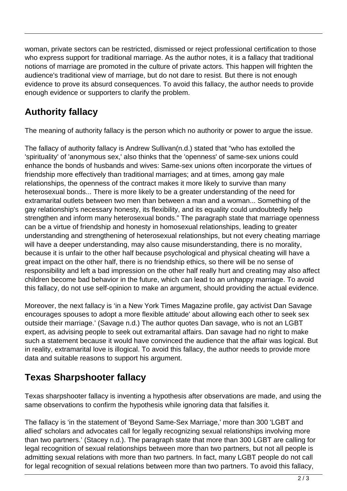woman, private sectors can be restricted, dismissed or reject professional certification to those who express support for traditional marriage. As the author notes, it is a fallacy that traditional notions of marriage are promoted in the culture of private actors. This happen will frighten the audience's traditional view of marriage, but do not dare to resist. But there is not enough evidence to prove its absurd consequences. To avoid this fallacy, the author needs to provide enough evidence or supporters to clarify the problem.

## **Authority fallacy**

The meaning of authority fallacy is the person which no authority or power to argue the issue.

The fallacy of authority fallacy is Andrew Sullivan(n.d.) stated that "who has extolled the 'spirituality' of 'anonymous sex,' also thinks that the 'openness' of same-sex unions could enhance the bonds of husbands and wives: Same-sex unions often incorporate the virtues of friendship more effectively than traditional marriages; and at times, among gay male relationships, the openness of the contract makes it more likely to survive than many heterosexual bonds... There is more likely to be a greater understanding of the need for extramarital outlets between two men than between a man and a woman... Something of the gay relationship's necessary honesty, its flexibility, and its equality could undoubtedly help strengthen and inform many heterosexual bonds." The paragraph state that marriage openness can be a virtue of friendship and honesty in homosexual relationships, leading to greater understanding and strengthening of heterosexual relationships, but not every cheating marriage will have a deeper understanding, may also cause misunderstanding, there is no morality, because it is unfair to the other half because psychological and physical cheating will have a great impact on the other half, there is no friendship ethics, so there will be no sense of responsibility and left a bad impression on the other half really hurt and creating may also affect children become bad behavior in the future, which can lead to an unhappy marriage. To avoid this fallacy, do not use self-opinion to make an argument, should providing the actual evidence.

Moreover, the next fallacy is 'in a New York Times Magazine profile, gay activist Dan Savage encourages spouses to adopt a more flexible attitude' about allowing each other to seek sex outside their marriage.' (Savage n.d.) The author quotes Dan savage, who is not an LGBT expert, as advising people to seek out extramarital affairs. Dan savage had no right to make such a statement because it would have convinced the audience that the affair was logical. But in reality, extramarital love is illogical. To avoid this fallacy, the author needs to provide more data and suitable reasons to support his argument.

### **Texas Sharpshooter fallacy**

Texas sharpshooter fallacy is inventing a hypothesis after observations are made, and using the same observations to confirm the hypothesis while ignoring data that falsifies it.

The fallacy is 'in the statement of 'Beyond Same-Sex Marriage,' more than 300 'LGBT and allied' scholars and advocates call for legally recognizing sexual relationships involving more than two partners.' (Stacey n.d.). The paragraph state that more than 300 LGBT are calling for legal recognition of sexual relationships between more than two partners, but not all people is admitting sexual relations with more than two partners. In fact, many LGBT people do not call for legal recognition of sexual relations between more than two partners. To avoid this fallacy,